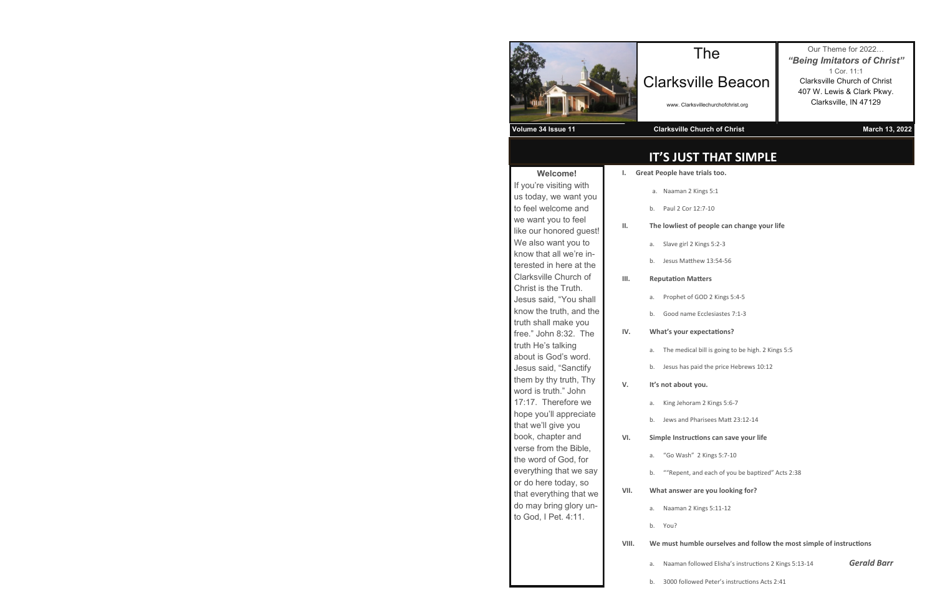| <b>Welcome!</b>              | ı.  |
|------------------------------|-----|
| If you're visiting with      |     |
| us today, we want you        |     |
| to feel welcome and          |     |
| we want you to feel          |     |
| like our honored guest!      | н.  |
| We also want you to          |     |
| know that all we're in-      |     |
| terested in here at the      |     |
| <b>Clarksville Church of</b> | ш.  |
| Christ is the Truth.         |     |
| Jesus said, "You shall       |     |
| know the truth, and the      |     |
| truth shall make you         |     |
| free." John 8:32. The        | IV. |
| truth He's talking           |     |
| about is God's word.         |     |
| Jesus said, "Sanctify        |     |
| them by thy truth, Thy       | V.  |
| word is truth." John         |     |
| 17:17. Therefore we          |     |
| hope you'll appreciate       |     |
| that we'll give you          |     |
| book, chapter and            | VI. |
| verse from the Bible,        |     |
| the word of God, for         |     |
| everything that we say       |     |
| or do here today, so         |     |
| that everything that we      | VII |
| do may bring glory un-       |     |
| to God, I Pet. 4:11.         |     |
|                              |     |
|                              |     |
|                              |     |
|                              |     |
|                              |     |

| н. | wn |
|----|----|
|    | a. |
|    | b. |
|    |    |
| Ш. | We |
|    | a. |
|    | b. |

## **IT'S JUST THAT SIMPLE**

# The

# Clarksville Beacon

#### **Volume 34 Issue 11 Clarksville Church of Christ March 2002** March 13, 2022





www. Clarksvillechurchofchrist.org

Our Theme for 2022… *"Being Imitators of Christ"* 1 Cor. 11:1 Clarksville Church of Christ 407 W. Lewis & Clark Pkwy. Clarksville, IN 47129

**I. Great People have trials too.** 

an 2 Kings 5:1

Cor 12:7-10

#### **II. By Dightary** of people can change your life

irl 2 Kings 5:2-3

latthew 13:54-56

#### **IMatters**

t of GOD 2 Kings 5:4-5

ame Ecclesiastes 7:1-3

#### **IV. What's your expectations?**

edical bill is going to be high. 2 Kings 5:5

as paid the price Hebrews 10:12

#### **V. It's not about you.**

horam 2 Kings 5:6-7

nd Pharisees Matt 23:12-14

#### **VI. Simple Instructions can save your life**

ash" 2 Kings 5:7-10

ent, and each of you be baptized" Acts 2:38

#### **ver are you looking for?**

an 2 Kings 5:11-12

#### **Numble ourselves and follow the most simple of instructions**

an followed Elisha's instructions 2 Kings 5:13-14 **Gerald Barr** 

|       |            | a. Naamar          |
|-------|------------|--------------------|
|       |            | b. Paul 2 C        |
| н.    |            | <b>The lowlies</b> |
|       |            | a. Slave gi        |
|       |            | b. Jesus M         |
| ш.    |            | Reputation         |
|       |            | a. Prophet         |
|       |            | b. Good na         |
| IV.   | What's you |                    |
|       |            | a. The me          |
|       | b.         | Jesus ha           |
| v.    |            | It's not abo       |
|       |            |                    |
|       |            | a. King Jeh        |
|       |            | b. Jews an         |
| VI.   |            | <b>Simple Inst</b> |
|       | a.         | "Go Wa             |
|       |            | b. ""Reper         |
| VII.  |            | What answ          |
|       |            | a. Naamar          |
|       | b.         | You?               |
| VIII. |            | We must h          |
|       | a.         | Naamar             |

b. 3000 followed Peter's instructions Acts 2:41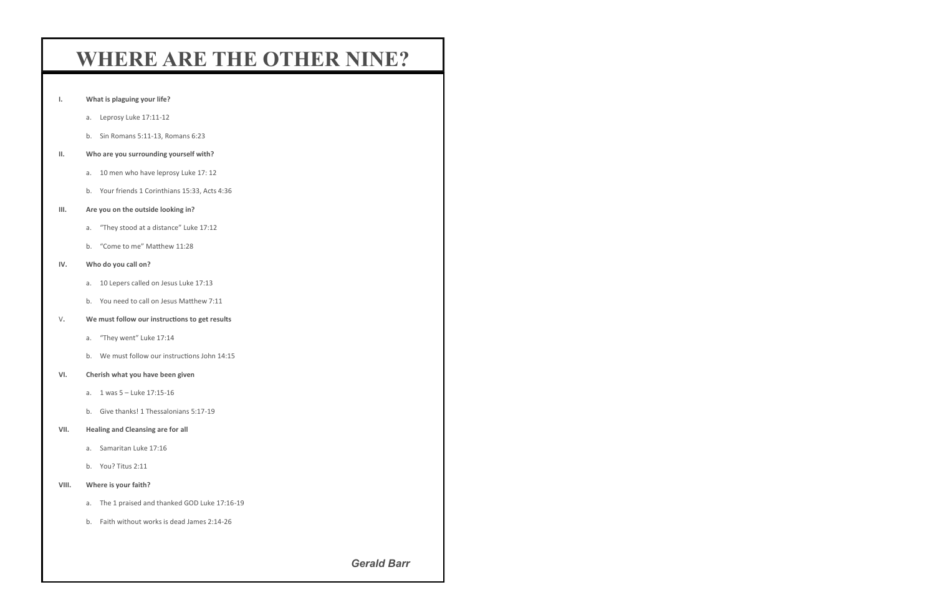# **WHERE ARE THE OTHER NINE?**

- **I. What is plaguing your life?**
	- a. Leprosy Luke 17:11-12
	- b. Sin Romans 5:11-13, Romans 6:23

## **II. Who are you surrounding yourself with?**

- a. 10 men who have leprosy Luke 17: 12
- b. Your friends 1 Corinthians 15:33, Acts 4:36
- **III. Are you on the outside looking in?**
	- a. "They stood at a distance" Luke 17:12
	- b. "Come to me" Matthew 11:28

#### **IV. Who do you call on?**

- a. 10 Lepers called on Jesus Luke 17:13
- b. You need to call on Jesus Matthew 7:11
- V**. We must follow our instructions to get results**
	- a. "They went" Luke 17:14
	- b. We must follow our instructions John 14:15

#### **VI. Cherish what you have been given**

- a. 1 was 5 Luke 17:15-16
- b. Give thanks! 1 Thessalonians 5:17-19

#### **VII. Healing and Cleansing are for all**

- a. Samaritan Luke 17:16
- b. You? Titus 2:11

## **VIII. Where is your faith?**

- a. The 1 praised and thanked GOD Luke 17:16-19
- b. Faith without works is dead James 2:14-26

*Gerald Barr*